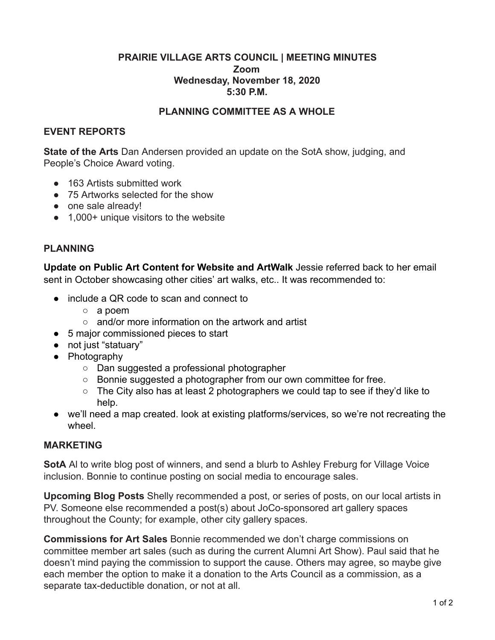## **PRAIRIE VILLAGE ARTS COUNCIL | MEETING MINUTES Zoom Wednesday, November 18, 2020 5:30 P.M.**

#### **PLANNING COMMITTEE AS A WHOLE**

#### **EVENT REPORTS**

**State of the Arts** Dan Andersen provided an update on the SotA show, judging, and People's Choice Award voting.

- 163 Artists submitted work
- 75 Artworks selected for the show
- one sale already!
- 1,000+ unique visitors to the website

# **PLANNING**

**Update on Public Art Content for Website and ArtWalk** Jessie referred back to her email sent in October showcasing other cities' art walks, etc.. It was recommended to:

- include a QR code to scan and connect to
	- a poem
	- and/or more information on the artwork and artist
- 5 major commissioned pieces to start
- not just "statuary"
- Photography
	- Dan suggested a professional photographer
	- Bonnie suggested a photographer from our own committee for free.
	- The City also has at least 2 photographers we could tap to see if they'd like to help.
- we'll need a map created. look at existing platforms/services, so we're not recreating the wheel.

# **MARKETING**

**SotA** Al to write blog post of winners, and send a blurb to Ashley Freburg for Village Voice inclusion. Bonnie to continue posting on social media to encourage sales.

**Upcoming Blog Posts** Shelly recommended a post, or series of posts, on our local artists in PV. Someone else recommended a post(s) about JoCo-sponsored art gallery spaces throughout the County; for example, other city gallery spaces.

**Commissions for Art Sales** Bonnie recommended we don't charge commissions on committee member art sales (such as during the current Alumni Art Show). Paul said that he doesn't mind paying the commission to support the cause. Others may agree, so maybe give each member the option to make it a donation to the Arts Council as a commission, as a separate tax-deductible donation, or not at all.